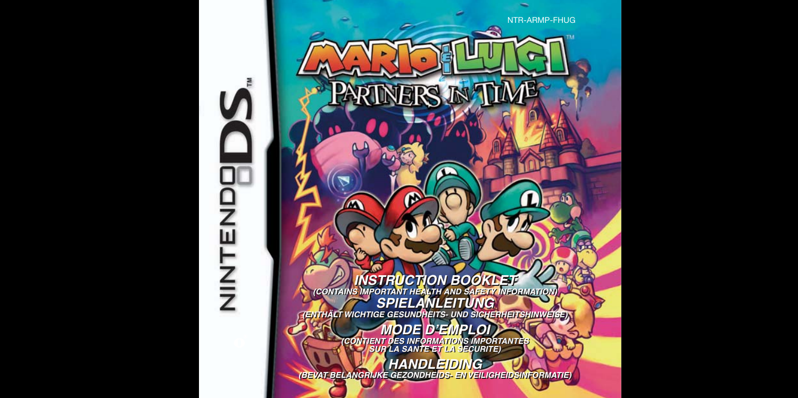

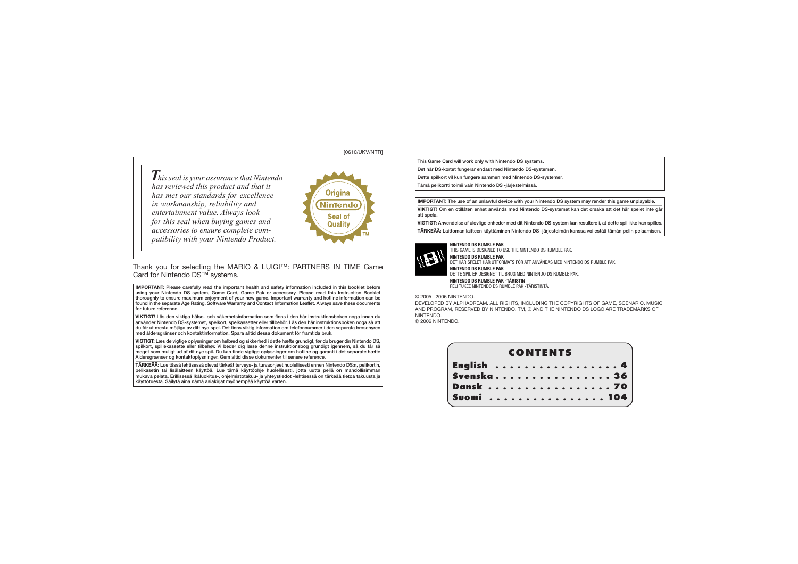### [0610/UKV/NTR]

*This seal is your assurance that Nintendo has reviewed this product and that it has met our standards for excellence in workmanship, reliability and entertainment value. Always look for this seal when buying games and accessories to ensure complete com patibility with your Nintendo Product.*



Thank you for selecting the MARIO & LUIGI™: PARTNERS IN TIME Game Card for Nintendo DS™ systems.

**IMPORTANT:** Please carefully read the important health and safety information included in this booklet before using your Nintendo DS system, Game Card, Game Pak or accessory. Please read this Instruction Booklet thoroughly to ensure maximum enjoyment of your new game. Important warranty and hotline information can be found in the separate Age Rating, Software Warranty and Contact Information Leaflet. Always save these documents for future reference.

**VIKTIGT!** Läs den viktiga hälso- och säkerhetsinformation som finns i den här instruktionsboken noga innan du använder Nintendo DS-systemet, spelkort, spelkassetter eller tillbehör. Läs den här instruktionsboken noga så att du får ut mesta möjliga av ditt nya spel. Det finns viktig information om telefonnummer i den separata broschyren med åldersgränser och kontaktinformation. Spara alltid dessa dokument för framtida bruk.

**VIGTIGT:** Læs de vigtige oplysninger om helbred og sikkerhed i dette hæfte grundigt, før du bruger din Nintendo DS, spilkort, spillekassette eller tilbehør. Vi beder dig læse denne instruktionsbog grundigt igennem, så du får så meget som muligt ud af dit nye spil. Du kan finde vigtige oplysninger om hotline og garanti i det separate hæfte Aldersgrænser og kontaktoplysninger. Gem altid disse dokumenter til senere reference.

**TÄRKEÄÄ:** Lue tässä lehtisessä olevat tärkeät terveys- ja turvaohjeet huolellisesti ennen Nintendo DS:n, pelikortin, pelikasetin tai lisälaitteen käyttöä. Lue tämä käyttöohje huolellisesti, jotta uutta peliä on mahdollisimman mukava pelata. Erillisessä Ikäluokitus-, ohjelmistotakuu- ja yhteystiedot -lehtisessä on tärkeää tietoa takuusta ja käyttötuesta. Säilytä aina nämä asiakirjat myöhempää käyttöä varten.

This Game Card will work only with Nintendo DS systems.

Det här DS-kortet fungerar endast med Nintendo DS-systemen.

Dette spilkort vil kun fungere sammen med Nintendo DS-systemer.

Tämä pelikortti toimii vain Nintendo DS -järjestelmissä.

**IMPORTANT:** The use of an unlawful device with your Nintendo DS system may render this game unplayable.

**VIKTIGT!** Om en otillåten enhet används med Nintendo DS-systemet kan det orsaka att det här spelet inte går att spela.

**VIGTIGT:** Anvendelse af ulovlige enheder med dit Nintendo DS-system kan resultere i, at dette spil ikke kan spilles.

**TÄRKEÄÄ:** Laittoman laitteen käyttäminen Nintendo DS -järjestelmän kanssa voi estää tämän pelin pelaamisen.

### **NINTENDO DS RUMBLE PAK**

THIS GAME IS DESIGNED TO USE THE NINTENDO DS RUMBLE PAK. **NINTENDO DS RUMBLE PAK** DET HÄR SPELET HAR UTFORMATS FÖR ATT ANVÄNDAS MED NINTENDO DS RUMBLE PAK. **NINTENDO DS RUMBLE PAK** DETTE SPIL ER DESIGNET TIL BRUG MED NINTENDO DS RUMBLE PAK. **NINTENDO DS RUMBLE PAK -TÄRISTIN** PELI TUKEE NINTENDO DS RUMBLE PAK -TÄRISTINTÄ.

© 2005 – 2006 NINTENDO.

DEVELOPED BY ALPHADREAM. ALL RIGHTS, INCLUDING THE COPYRIGHTS OF GAME, SCENARIO, MUSIC AND PROGRAM, RESERVED BY NINTENDO. TM, ® AND THE NINTENDO DS LOGO ARE TRADEMARKS OF NINTENDO.

© 2006 NINTENDO.

| <b>CONTENTS</b> |  |  |  |  |  |  |  |  |  |  |  |  |  |  |  |  |  |
|-----------------|--|--|--|--|--|--|--|--|--|--|--|--|--|--|--|--|--|
| English 4       |  |  |  |  |  |  |  |  |  |  |  |  |  |  |  |  |  |
| Svenska36       |  |  |  |  |  |  |  |  |  |  |  |  |  |  |  |  |  |
| <b>Dansk</b> 70 |  |  |  |  |  |  |  |  |  |  |  |  |  |  |  |  |  |
| Suomi 104       |  |  |  |  |  |  |  |  |  |  |  |  |  |  |  |  |  |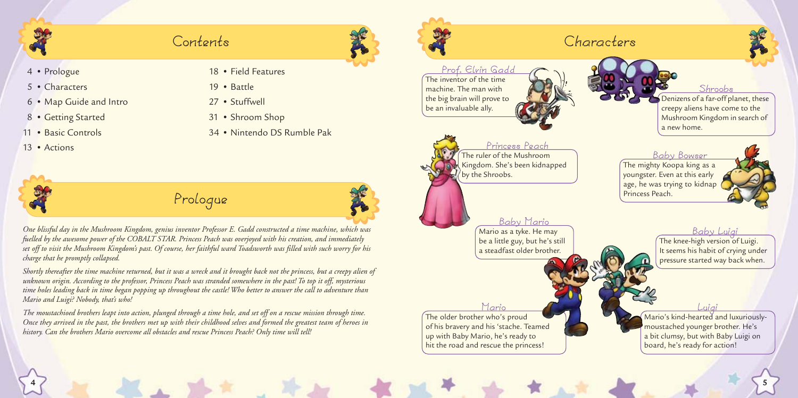## **Contents**

- 4 Prologue
- 5 Characters
- 6 Map Guide and Intro
- 8 Getting Started
- 11 Basic Controls
- 13 Actions
- 18 Field Features
- 19 Battle
- 27 Stuffwell
- 31 Shroom Shop
- 34 Nintendo DS Rumble Pak

## **Prologue**



*One blissful day in the Mushroom Kingdom, genius inventor Professor E. Gadd constructed a time machine, which was fuelled by the awesome power of the COBALT STAR. Princess Peach was overjoyed with his creation, and immediately set off to visit the Mushroom Kingdom's past. Of course, her faithful ward Toadsworth was filled with such worry for his charge that he promptly collapsed.*

*Shortly thereafter the time machine returned, but it was a wreck and it brought back not the princess, but a creepy alien of unknown origin. According to the professor, Princess Peach was stranded somewhere in the past! To top it off, mysterious time holes leading back in time began popping up throughout the castle! Who better to answer the call to adventure than Mario and Luigi? Nobody, that's who!*

*The moustachioed brothers leapt into action, plunged through a time hole, and set off on a rescue mission through time. Once they arrived in the past, the brothers met up with their childhood selves and formed the greatest team of heroes in history. Can the brothers Mario overcome all obstacles and rescue Princess Peach? Only time will tell!*

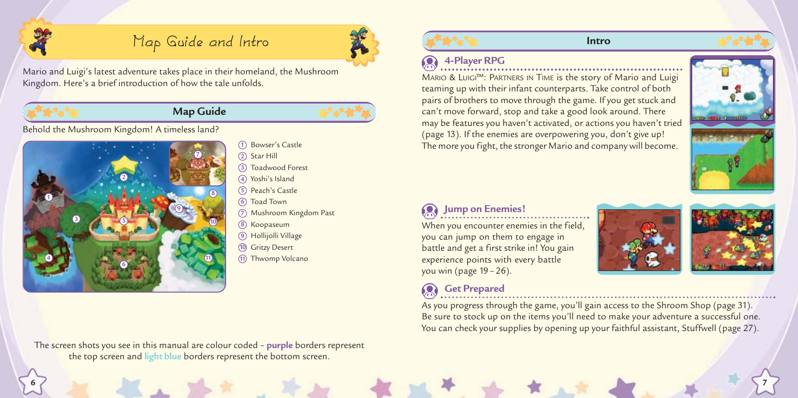

## **Map Guide and Intro**



Mario and Luigi's latest adventure takes place in their homeland, the Mushroom Kingdom. Here's a brief introduction of how the tale unfolds.

## **Map Guide**



Behold the Mushroom Kingdom! A timeless land?



Star Hill **2** Toadwood Forest **3** Yoshi's Island **4** Peach's Castle **5** Toad Town **6** Mushroom Kingdom Past **7** Koopaseum **8** Hollijolli Village **9** Gritzy Desert **10** Thwomp Volcano **11**

Bowser's Castle **1**

The screen shots you see in this manual are colour coded – **purple** borders represent the top screen and **light blue** borders represent the bottom screen.



### **Intro**

## **4-Player RPG**

MARIO & LUIGI™: PARTNERS IN TIME is the story of Mario and Luigi teaming up with their infant counterparts. Take control of both pairs of brothers to move through the game. If you get stuck and can't move forward, stop and take a good look around. There may be features you haven't activated, or actions you haven't tried (page 13). If the enemies are overpowering you, don't give up! The more you fight, the stronger Mario and company will become.



## **Jump on Enemies!**

When you encounter enemies in the field, you can jump on them to engage in battle and get a first strike in! You gain experience points with every battle you win (page 19 – 26).

**6 7**

As you progress through the game, you'll gain access to the Shroom Shop (page 31). Be sure to stock up on the items you'll need to make your adventure a successful one. You can check your supplies by opening up your faithful assistant, Stuffwell (page 27). **Co** Get Prepared<br> **Communication Contract Prepared** 

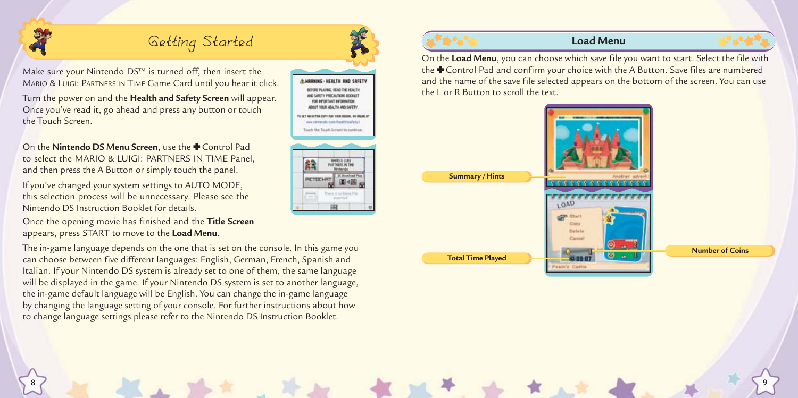

## **Getting Started Load Menu**

Make sure your Nintendo DS™ is turned off, then insert the MARIO & LUIGI: PARTNERS IN TIME Game Card until you hear it click.

Turn the power on and the **Health and Safety Screen** will appear. Once you've read it, go ahead and press any button or touch the Touch Screen.

On the **Nintendo DS Menu Screen**, use the  $\blacklozenge$  Control Pad to select the MARIO & LUIGI: PARTNERS IN TIME Panel, and then press the A Button or simply touch the panel.

If you've changed your system settings to AUTO MODE, this selection process will be unnecessary. Please see the Nintendo DS Instruction Booklet for details.

Once the opening movie has finished and the **Title Screen** appears, press START to move to the **Load Menu**.

The in-game language depends on the one that is set on the console. In this game you can choose between five different languages: English, German, French, Spanish and Italian. If your Nintendo DS system is already set to one of them, the same language will be displayed in the game. If your Nintendo DS system is set to another language, the in-game default language will be English. You can change the in-game language by changing the language setting of your console. For further instructions about how to change language settings please refer to the Nintendo DS Instruction Booklet.

**HERLTH AND SREETY** as restauds confused installation such the Touch Screen to continue **AUTHERC IN THE Di Bountous PI** PICTOCHR 图相



**8 9**



On the **Load Menu**, you can choose which save file you want to start. Select the file with the  $\bigstar$  Control Pad and confirm your choice with the A Button. Save files are numbered and the name of the save file selected appears on the bottom of the screen. You can use the L or R Button to scroll the text.

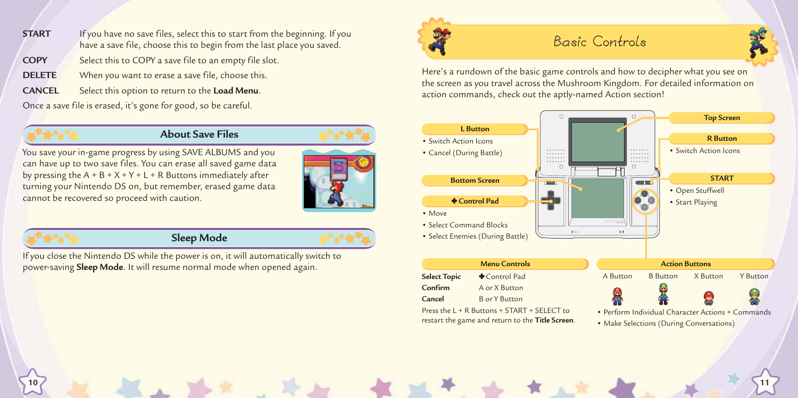- **START** If you have no save files, select this to start from the beginning. If you have a save file, choose this to begin from the last place you saved. **COPY** Select this to COPY a save file to an empty file slot.
- **DELETE** When you want to erase a save file, choose this.
- **CANCEL** Select this option to return to the **Load Menu**.

Once a save file is erased, it's gone for good, so be careful.

## **About Save Files**

You save your in-game progress by using SAVE ALBUMS and you can have up to two save files. You can erase all saved game data by pressing the  $A + B + X + Y + L + R$  Buttons immediately after turning your Nintendo DS on, but remember, erased game data cannot be recovered so proceed with caution.



**10 11**

## **Sleep Mode**

**Menu Controls** If you close the Nintendo DS while the power is on, it will automatically switch to power-saving **Sleep Mode**. It will resume normal mode when opened again.



## **Basic Controls**

Here's a rundown of the basic game controls and how to decipher what you see on the screen as you travel across the Mushroom Kingdom. For detailed information on action commands, check out the aptly-named Action section!

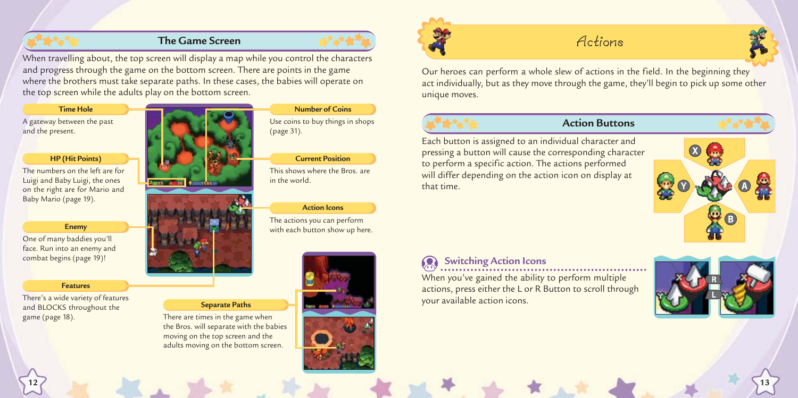## **The Game Screen**



When travelling about, the top screen will display a map while you control the characters and progress through the game on the bottom screen. There are points in the game where the brothers must take separate paths. In these cases, the babies will operate on the top screen while the adults play on the bottom screen.

### **Time Hole**

A gateway between the past and the present.

### **HP (Hit Points)**

The numbers on the left are for Luigi and Baby Luigi, the ones on the right are for Mario and Baby Mario (page 19).

### **Enemy**

One of many baddies you'll face. Run into an enemy and combat begins (page 19)!

### **Features**

There's a wide variety of features and BLOCKS throughout the game (page 18).



### **Separate Paths**

There are times in the game when the Bros. will separate with the babies moving on the top screen and the adults moving on the bottom screen.

## **Number of Coins**

Use coins to buy things in shops (page 31).

### **Current Position**

This shows where the Bros. are in the world.

### **Action Icons**

The actions you can perform with each button show up here.



**12 13**



## **Actions**



Our heroes can perform a whole slew of actions in the field. In the beginning they act individually, but as they move through the game, they'll begin to pick up some other unique moves.

## **Action Buttons**

Each button is assigned to an individual character and pressing a button will cause the corresponding character to perform a specific action. The actions performed will differ depending on the action icon on display at that time.



## **Switching Action Icons**

When you've gained the ability to perform multiple actions, press either the L or R Button to scroll through your available action icons.

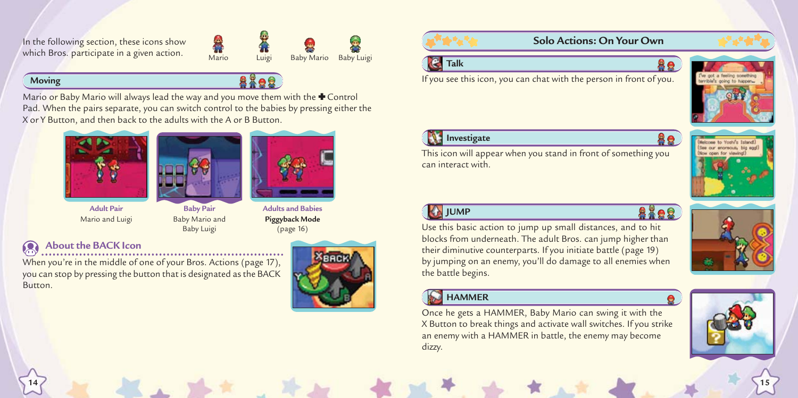In the following section, these icons show which Bros. participate in a given action.

# Mario Luigi Baby Mario Baby Luigi

## **Moving**

Mario or Baby Mario will always lead the way and you move them with the  $\blacklozenge$  Control Pad. When the pairs separate, you can switch control to the babies by pressing either the X or Y Button, and then back to the adults with the A or B Button.







**Adult Pair** Mario and Luigi

- **Baby Pair** Baby Mario and Baby Luigi
- **Adults and Babies Piggyback Mode** (page 16)

## **About the BACK Icon**

When you're in the middle of one of your Bros. Actions (page 17), you can stop by pressing the button that is designated as the BACK Button.







If you see this icon, you can chat with the person in front of you.



**Investigate**

can interact with.



**JUMP** 

8808 blocks from underneath. The adult Bros. can jump higher than by jumping on an enemy, you'll do damage to all enemies when

## **HAMMER**

**14 15**

Once he gets a HAMMER, Baby Mario can swing it with the X Button to break things and activate wall switches. If you strike an enemy with a HAMMER in battle, the enemy may become dizzy.



Use this basic action to jump up small distances, and to hit their diminutive counterparts. If you initiate battle (page 19) the battle begins.

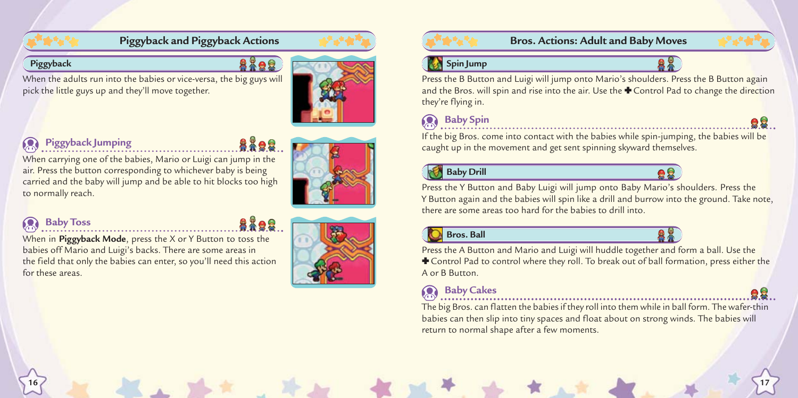## **Piggyback and Piggyback Actions**

## **Piggyback**

8395

When the adults run into the babies or vice-versa, the big guys will pick the little guys up and they'll move together.



## **Piggyback Jumping**

When carrying one of the babies, Mario or Luigi can jump in the air. Press the button corresponding to whichever baby is being carried and the baby will jump and be able to hit blocks too high<br>to normally reach.

## **Baby Toss**

When in **Piggyback Mode**, press the X or Y Button to toss the babies off Mario and Luigi's backs. There are some areas in the field that only the babies can enter, so you'll need this action for these areas.



**Bros. Actions: Adult and Baby Moves**

## **Spin Jump**



Press the B Button and Luigi will jump onto Mario's shoulders. Press the B Button again and the Bros. will spin and rise into the air. Use the  $\blacklozenge$  Control Pad to change the direction they're flying in.

## **Baby Spin** 2008 **Baby Spin**

If the big Bros. come into contact with the babies while spin-jumping, the babies will be caught up in the movement and get sent spinning skyward themselves.

## **Baby Drill**



Press the Y Button and Baby Luigi will jump onto Baby Mario's shoulders. Press the Y Button again and the babies will spin like a drill and burrow into the ground. Take note, there are some areas too hard for the babies to drill into.

## **Bros. Ball**



Press the A Button and Mario and Luigi will huddle together and form a ball. Use the - Control Pad to control where they roll. To break out of ball formation, press either the A or B Button.

## **Baby Cakes**

**16 17**

The big Bros. can flatten the babies if they roll into them while in ball form. The wafer-thin babies can then slip into tiny spaces and float about on strong winds. The babies will return to normal shape after a few moments.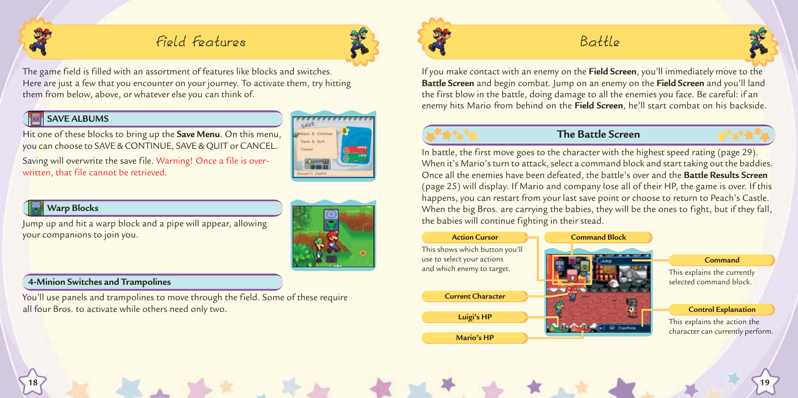

## **Field Features**



The game field is filled with an assortment of features like blocks and switches. Here are just a few that you encounter on your journey. To activate them, try hitting them from below, above, or whatever else you can think of.

## **SAVE ALBUMS**

Hit one of these blocks to bring up the **Save Menu**. On this menu, you can choose to SAVE & CONTINUE, SAVE & QUIT or CANCEL.

Saving will overwrite the save file. Warning! Once a file is overwritten, that file cannot be retrieved.



## **Warp Blocks**

Jump up and hit a warp block and a pipe will appear, allowing your companions to join you.

### **4-Minion Switches and Trampolines**

You'll use panels and trampolines to move through the field. Some of these require all four Bros. to activate while others need only two.



## **Battle**



If you make contact with an enemy on the **Field Screen**, you'll immediately move to the **Battle Screen** and begin combat. Jump on an enemy on the **Field Screen** and you'll land the first blow in the battle, doing damage to all the enemies you face. Be careful: if an enemy hits Mario from behind on the **Field Screen**, he'll start combat on his backside.



**18 19**

## **The Battle Screen**



In battle, the first move goes to the character with the highest speed rating (page 29). When it's Mario's turn to attack, select a command block and start taking out the baddies. Once all the enemies have been defeated, the battle's over and the **Battle Results Screen** (page 25) will display. If Mario and company lose all of their HP, the game is over. If this happens, you can restart from your last save point or choose to return to Peach's Castle. When the big Bros. are carrying the babies, they will be the ones to fight, but if they fall, the babies will continue fighting in their stead.

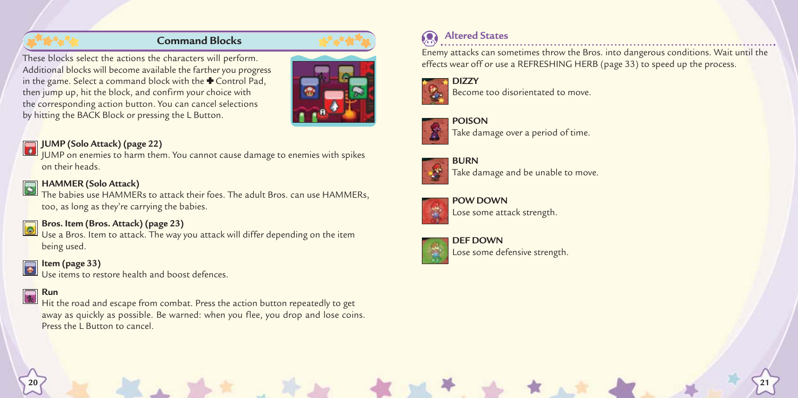These blocks select the actions the characters will perform. Additional blocks will become available the farther you progress in the game. Select a command block with the  $\bigstar$  Control Pad, then jump up, hit the block, and confirm your choice with the corresponding action button. You can cancel selections by hitting the BACK Block or pressing the L Button.



## **JUMP (Solo Attack) (page 22)**

JUMP on enemies to harm them. You cannot cause damage to enemies with spikes on their heads.

## **HAMMER (Solo Attack)**

The babies use HAMMERs to attack their foes. The adult Bros. can use HAMMERs, too, as long as they're carrying the babies.

## **Bros. Item (Bros. Attack) (page 23)**

Use a Bros. Item to attack, The way you attack will differ depending on the item being used.

### **Item (page 33)**  $\bullet$

Use items to restore health and boost defences.

## **Run**



Enemy attacks can sometimes throw the Bros. into dangerous conditions. Wait until the effects wear off or use a REFRESHING HERB (page 33) to speed up the process. **Command Blocks Altered States Altered States** 



Become too disorientated to move.



**POISON** Take damage over a period of time.



Take damage and be unable to move.



**POW DOWN** Lose some attack strength.



**20 21**

**DEF DOWN** Lose some defensive strength.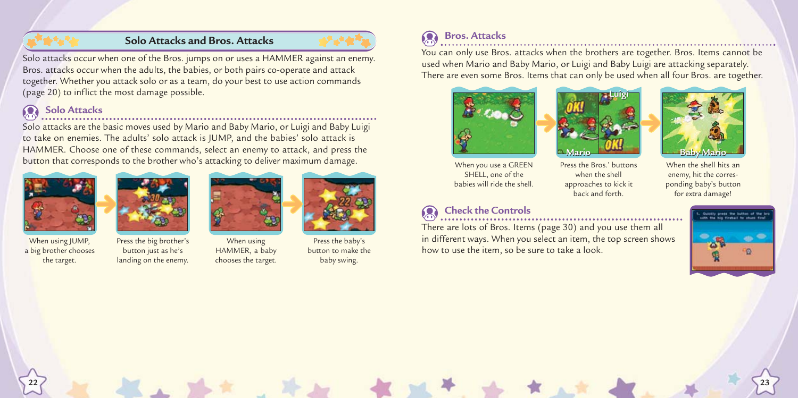## **Solo Attacks and Bros. Attacks**



Solo attacks occur when one of the Bros. jumps on or uses a HAMMER against an enemy. Bros. attacks occur when the adults, the babies, or both pairs co-operate and attack together. Whether you attack solo or as a team, do your best to use action commands (page 20) to inflict the most damage possible.

## **Solo Attacks**

Solo attacks are the basic moves used by Mario and Baby Mario, or Luigi and Baby Luigi to take on enemies. The adults' solo attack is JUMP, and the babies' solo attack is HAMMER. Choose one of these commands, select an enemy to attack, and press the button that corresponds to the brother who's attacking to deliver maximum damage.





When using IUMP. a big brother chooses the target.

Press the big brother's button just as he's landing on the enemy.



When using HAMMER, a baby chooses the target.



Press the baby's button to make the baby swing.

**22 23**

## **Bros. Attacks**<br> **Bros. Attacks**

You can only use Bros. attacks when the brothers are together. Bros. Items cannot be used when Mario and Baby Mario, or Luigi and Baby Luigi are attacking separately. There are even some Bros. Items that can only be used when all four Bros. are together.







When you use a GREEN SHELL, one of the babies will ride the shell.

## **Check the Controls**

There are lots of Bros. Items (page 30) and you use them all in different ways. When you select an item, the top screen shows how to use the item, so be sure to take a look.

Press the Bros.' buttons when the shell approaches to kick it back and forth. When the shell hits an enemy, hit the corresponding baby's button for extra damage!

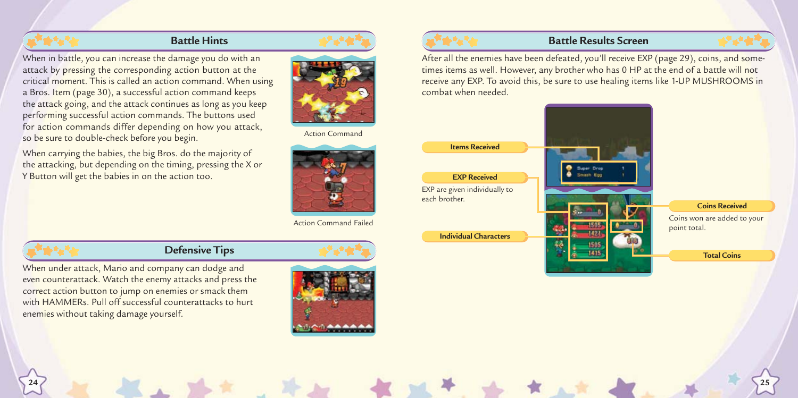## **Battle Hints**

When in battle, you can increase the damage you do with an attack by pressing the corresponding action button at the critical moment. This is called an action command. When using a Bros. Item (page 30), a successful action command keeps the attack going, and the attack continues as long as you keep performing successful action commands. The buttons used for action commands differ depending on how you attack, so be sure to double-check before you begin.

When carrying the babies, the big Bros. do the majority of the attacking, but depending on the timing, pressing the X or Y Button will get the babies in on the action too.



Action Command



## **Defensive Tips**

When under attack, Mario and company can dodge and even counterattack. Watch the enemy attacks and press the correct action button to jump on enemies or smack them with HAMMERs. Pull off successful counterattacks to hurt enemies without taking damage yourself.



### **Battle Results Screen**

After all the enemies have been defeated, you'll receive EXP (page 29), coins, and some times items as well. However, any brother who has 0 HP at the end of a battle will not receive any EXP. To avoid this, be sure to use healing items like 1-UP MUSHROOMS in combat when needed.



**24 25**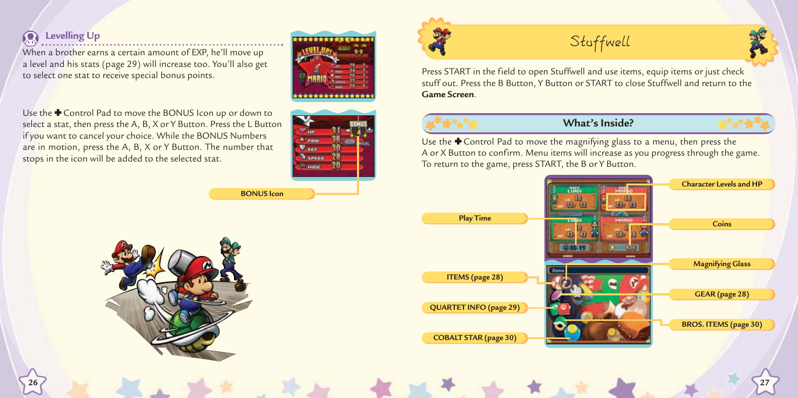When a brother earns a certain amount of EXP, he'll move up a level and his stats (page 29) will increase too. You'll also get to select one stat to receive special bonus points.



Use the  $\blacklozenge$  Control Pad to move the BONUS Icon up or down to select a stat, then press the A, B, X or Y Button. Press the L Button if you want to cancel your choice. While the BONUS Numbers are in motion, press the A, B, X or Y Button. The number that stops in the icon will be added to the selected stat.



**BONUS Icon**



Press START in the field to open Stuffwell and use items, equip items or just check stuff out. Press the B Button, Y Button or START to close Stuffwell and return to the **Game Screen**.



**26 27**

## **What's Inside?**

Use the  $\blacklozenge$  Control Pad to move the magnifying glass to a menu, then press the A or X Button to confirm. Menu items will increase as you progress through the game. To return to the game, press START, the B or Y Button.



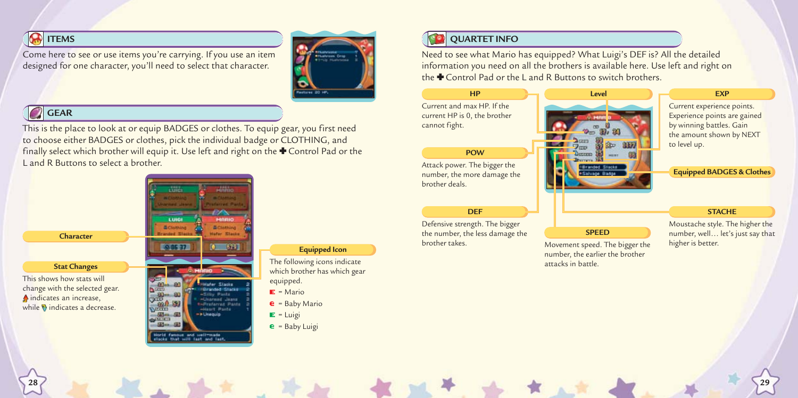## **ITEMS**

Come here to see or use items you're carrying. If you use an item designed for one character, you'll need to select that character.



## GEAR

This is the place to look at or equip BADGES or clothes. To equip gear, you first need to choose either BADGES or clothes, pick the individual badge or CLOTHING, and finally select which brother will equip it. Use left and right on the  $\bigstar$  Control Pad or the L and R Buttons to select a brother.



### **Equipped Icon**

The following icons indicate which brother has which gear equipped.

- $E =$  Mario
- $e =$  Baby Mario
- $E = \text{Luigi}$
- $e =$  Baby Luigi

## **QUARTET INFO**

Need to see what Mario has equipped? What Luigi's DEF is? All the detailed information you need on all the brothers is available here. Use left and right on the  $\bigoplus$  Control Pad or the L and R Buttons to switch brothers.

### Current and max HP. If the current HP is 0, the brother cannot fight. **HP**

### **POW**

Attack power. The bigger the number, the more damage the brother deals.

### **DEF**

**28 29**

Defensive strength. The bigger the number, the less damage the<br>brother takes



Movement speed. The bigger the number, the earlier the brother attacks in battle.

**SPEED**

### **EXP**

Current experience points. Experience points are gained by winning battles. Gain the amount shown by NEXT to level up.

### **Equipped BADGES & Clothes**

### **STACHE**

Moustache style. The higher the number, well... let's just say that higher is better.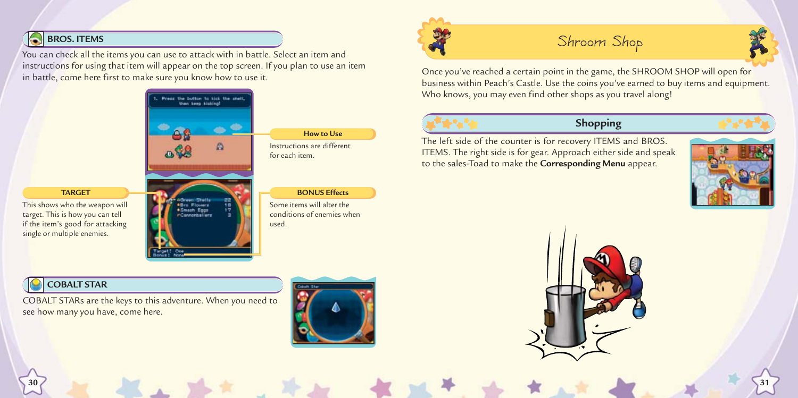## **BROS. ITEMS**

You can check all the items you can use to attack with in battle. Select an item and instructions for using that item will appear on the top screen. If you plan to use an item in battle, come here first to make sure you know how to use it.



## **How to Use**

Instructions are different for each item.

### **BONUS Effects**

Some items will alter the conditions of enemies when used.

## **Shroom Shop**



Once you've reached a certain point in the game, the SHROOM SHOP will open for business within Peach's Castle. Use the coins you've earned to buy items and equipment. Who knows, you may even find other shops as you travel along!



## **Shopping**

The left side of the counter is for recovery ITEMS and BROS. ITEMS. The right side is for gear. Approach either side and speak to the sales-Toad to make the **Corresponding Menu** appear.





## **TARGET**

This shows who the weapon will target. This is how you can tell if the item's good for attacking single or multiple enemies.



## **COBALT STAR**

COBALT STARs are the keys to this adventure. When you need to see how many you have, come here.



**30 31**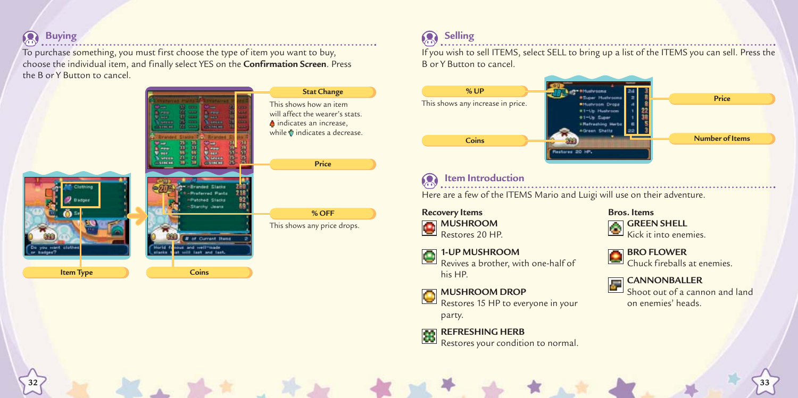### **Buying**  $\Omega$

To purchase something, you must first choose the type of item you want to buy, choose the individual item, and finally select YES on the **Confirmation Screen**. Press the B or Y Button to cancel.



## **Selling**

If you wish to sell ITEMS, select SELL to bring up a list of the ITEMS you can sell. Press the B or Y Button to cancel.



### **Item Introduction**  $\Omega$

Here are a few of the ITEMS Mario and Luigi will use on their adventure.

**Recovery Items MUSHROOM** Restores 20 HP.

### **1-UP MUSHROOM**

**32 33**

Revives a brother, with one-half of his HP.

### **MUSHROOM DROP**

Restores 15 HP to everyone in your party.

## **REFRESHING HERB**

Restores your condition to normal.

## **Bros. Items**



### **BRO FLOWER** Chuck fireballs at enemies.



**CANNONBALLER** Shoot out of a cannon and land on enemies' heads.